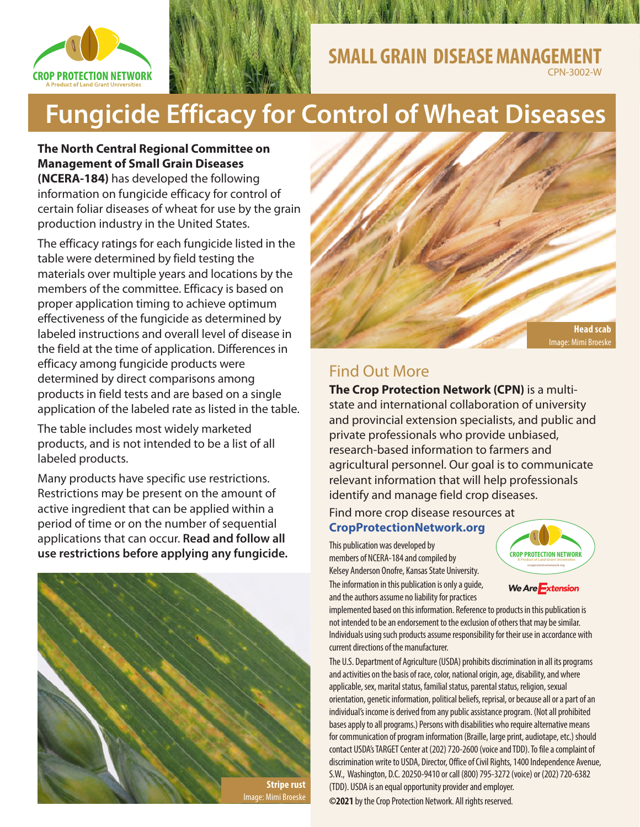



## **SMALL GRAIN DISEASE MANAGEM** CPN-3002-W

# **Fungicide Efficacy for Control of Wheat Diseases**

### **The North Central Regional Committee on Management of Small Grain Diseases**

**(NCERA-184)** has developed the following information on fungicide efficacy for control of certain foliar diseases of wheat for use by the grain production industry in the United States.

The efficacy ratings for each fungicide listed in the table were determined by field testing the materials over multiple years and locations by the members of the committee. Efficacy is based on proper application timing to achieve optimum effectiveness of the fungicide as determined by labeled instructions and overall level of disease in the field at the time of application. Differences in efficacy among fungicide products were determined by direct comparisons among products in field tests and are based on a single application of the labeled rate as listed in the table.

The table includes most widely marketed products, and is not intended to be a list of all labeled products.

Many products have specific use restrictions. Restrictions may be present on the amount of active ingredient that can be applied within a period of time or on the number of sequential applications that can occur. **Read and follow all use restrictions before applying any fungicide.**





# Find Out More

**The Crop Protection Network (CPN)** is a multistate and international collaboration of university and provincial extension specialists, and public and private professionals who provide unbiased, research-based information to farmers and agricultural personnel. Our goal is to communicate relevant information that will help professionals identify and manage field crop diseases.

### Find more crop disease resources at

### **[CropProtectionNetwork.org](http://CropProtectionNetwork.org)**

This publication was developed by members of NCERA-184 and compiled by Kelsey Anderson Onofre, Kansas State University. The information in this publication is only a guide, and the authors assume no liability for practices



We Are Extension

implemented based on this information. Reference to products in this publication is not intended to be an endorsement to the exclusion of others that may be similar. Individuals using such products assume responsibility for their use in accordance with current directions of the manufacturer.

The U.S. Department of Agriculture (USDA) prohibits discrimination in all its programs and activities on the basis of race, color, national origin, age, disability, and where applicable, sex, marital status, familial status, parental status, religion, sexual orientation, genetic information, political beliefs, reprisal, or because all or a part of an individual's income is derived from any public assistance program. (Not all prohibited bases apply to all programs.) Persons with disabilities who require alternative means for communication of program information (Braille, large print, audiotape, etc.) should contact USDA's TARGET Center at (202) 720-2600 (voice and TDD). To file a complaint of discrimination write to USDA, Director, Office of Civil Rights, 1400 Independence Avenue, S.W., Washington, D.C. 20250-9410 or call (800) 795-3272 (voice) or (202) 720-6382 (TDD). USDA is an equal opportunity provider and employer. **©2021** by the Crop Protection Network. All rights reserved.